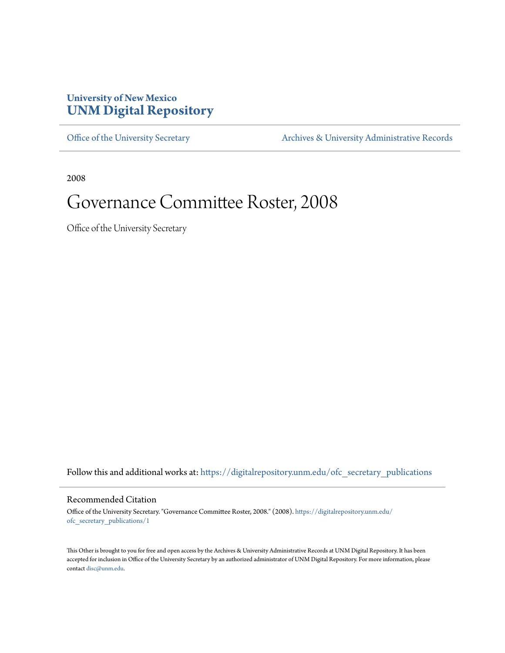## **University of New Mexico [UNM Digital Repository](https://digitalrepository.unm.edu?utm_source=digitalrepository.unm.edu%2Fofc_secretary_publications%2F1&utm_medium=PDF&utm_campaign=PDFCoverPages)**

[Office of the University Secretary](https://digitalrepository.unm.edu/ofc_secretary_publications?utm_source=digitalrepository.unm.edu%2Fofc_secretary_publications%2F1&utm_medium=PDF&utm_campaign=PDFCoverPages) **[Archives & University Administrative Records](https://digitalrepository.unm.edu/archives?utm_source=digitalrepository.unm.edu%2Fofc_secretary_publications%2F1&utm_medium=PDF&utm_campaign=PDFCoverPages)** 

2008

# Governance Committee Roster, 2008

Office of the University Secretary

Follow this and additional works at: [https://digitalrepository.unm.edu/ofc\\_secretary\\_publications](https://digitalrepository.unm.edu/ofc_secretary_publications?utm_source=digitalrepository.unm.edu%2Fofc_secretary_publications%2F1&utm_medium=PDF&utm_campaign=PDFCoverPages)

### Recommended Citation

Office of the University Secretary. "Governance Committee Roster, 2008." (2008). [https://digitalrepository.unm.edu/](https://digitalrepository.unm.edu/ofc_secretary_publications/1?utm_source=digitalrepository.unm.edu%2Fofc_secretary_publications%2F1&utm_medium=PDF&utm_campaign=PDFCoverPages) [ofc\\_secretary\\_publications/1](https://digitalrepository.unm.edu/ofc_secretary_publications/1?utm_source=digitalrepository.unm.edu%2Fofc_secretary_publications%2F1&utm_medium=PDF&utm_campaign=PDFCoverPages)

This Other is brought to you for free and open access by the Archives & University Administrative Records at UNM Digital Repository. It has been accepted for inclusion in Office of the University Secretary by an authorized administrator of UNM Digital Repository. For more information, please contact [disc@unm.edu.](mailto:disc@unm.edu)